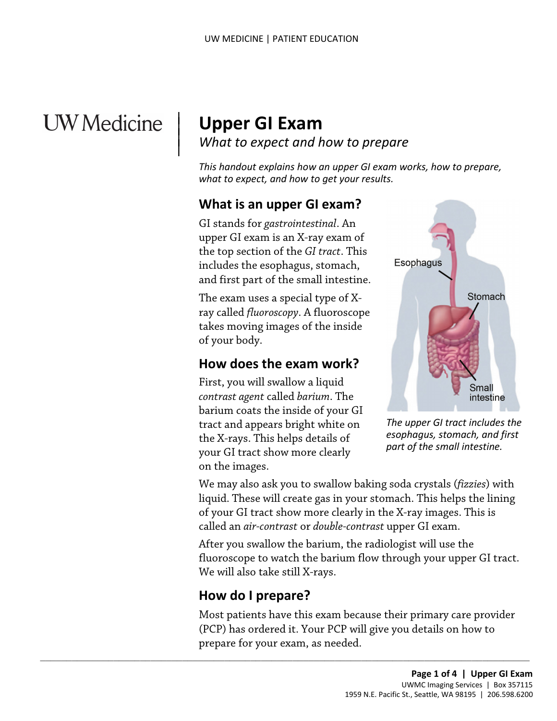# **UW** Medicine

|

# <sup>|</sup>**Upper GI Exam** | *What to expect and how to prepare* <sup>|</sup>

*This handout explains how an upper GI exam works, how to prepare, what to expect, and how to get your results.* 

## **What is an upper GI exam?**

GI stands for *gastrointestinal*. An upper GI exam is an X-ray exam of the top section of the *GI tract*. This includes the esophagus, stomach, and first part of the small intestine.

The exam uses a special type of Xray called *fluoroscopy*. A fluoroscope takes moving images of the inside of your body.

# **How does the exam work?**

First, you will swallow a liquid *contrast agent* called *barium*. The barium coats the inside of your GI tract and appears bright white on the X-rays. This helps details of your GI tract show more clearly on the images.



*The upper GI tract includes the esophagus, stomach, and first part of the small intestine.* 

 called an *air-contrast* or *double-contrast* upper GI exam. We may also ask you to swallow baking soda crystals (*fizzies*) with liquid. These will create gas in your stomach. This helps the lining of your GI tract show more clearly in the X-ray images. This is

 After you swallow the barium, the radiologist will use the fluoroscope to watch the barium flow through your upper GI tract. We will also take still X-rays.

# **How do I prepare?**

 $\_$  , and the set of the set of the set of the set of the set of the set of the set of the set of the set of the set of the set of the set of the set of the set of the set of the set of the set of the set of the set of th

Most patients have this exam because their primary care provider (PCP) has ordered it. Your PCP will give you details on how to prepare for your exam, as needed.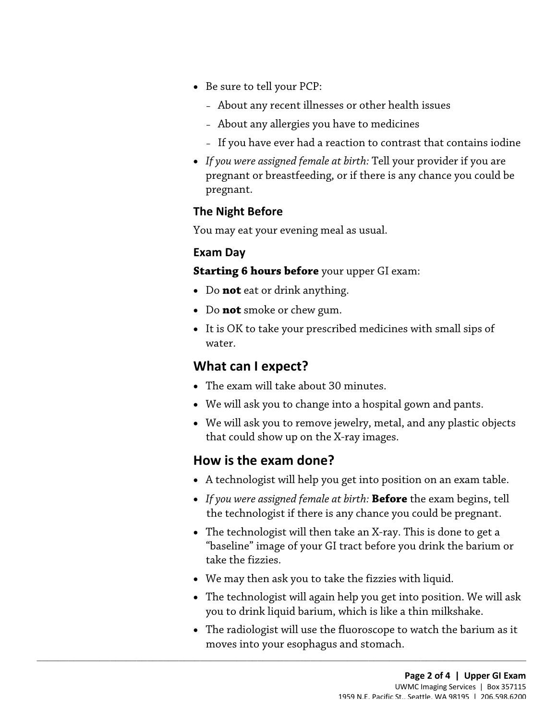- Be sure to tell your PCP:
	- About any recent illnesses or other health issues
	- About any allergies you have to medicines
	- If you have ever had a reaction to contrast that contains iodine
- *If you were assigned female at birth:* Tell your provider if you are pregnant or breastfeeding, or if there is any chance you could be pregnant.

#### **The Night Before**

You may eat your evening meal as usual.

#### **Exam Day**

 **Starting 6 hours before** your upper GI exam:

- Do **not** eat or drink anything.
- Do **not** smoke or chew gum.
- Starting 6 hours before your upper GI exam:<br>
 Do not eat or drink anything.<br>
 Do not smoke or chew gum.<br>
 It is OK to take your prescribed medicines with small sips of water.<br>
What can Lexnect? • It is OK to take your prescribed medicines with small sips of water.

#### **What can I expect?**

- The exam will take about 30 minutes.
- We will ask you to change into a hospital gown and pants.
- We will ask you to remove jewelry, metal, and any plastic objects that could show up on the X-ray images.

#### **How is the exam done?**

- A technologist will help you get into position on an exam table.
- • *If you were assigned female at birth:* **Before** the exam begins, tell the technologist if there is any chance you could be pregnant.
- • The technologist will then take an X-ray. This is done to get a "baseline" image of your GI tract before you drink the barium or take the fizzies.
- We may then ask you to take the fizzies with liquid.

 $\_$  ,  $\_$  ,  $\_$  ,  $\_$  ,  $\_$  ,  $\_$  ,  $\_$  ,  $\_$  ,  $\_$  ,  $\_$  ,  $\_$  ,  $\_$  ,  $\_$  ,  $\_$  ,  $\_$  ,  $\_$  ,  $\_$  ,  $\_$  ,  $\_$  ,  $\_$  ,  $\_$  ,  $\_$  ,  $\_$  ,  $\_$  ,  $\_$  ,  $\_$  ,  $\_$  ,  $\_$  ,  $\_$  ,  $\_$  ,  $\_$  ,  $\_$  ,  $\_$  ,  $\_$  ,  $\_$  ,  $\_$  ,  $\_$  ,

- • The technologist will again help you get into position. We will ask you to drink liquid barium, which is like a thin milkshake.
- • The [radiologist](javascript:glossAry() will use the fluoroscope to watch the barium as it moves into your esophagus and stomach.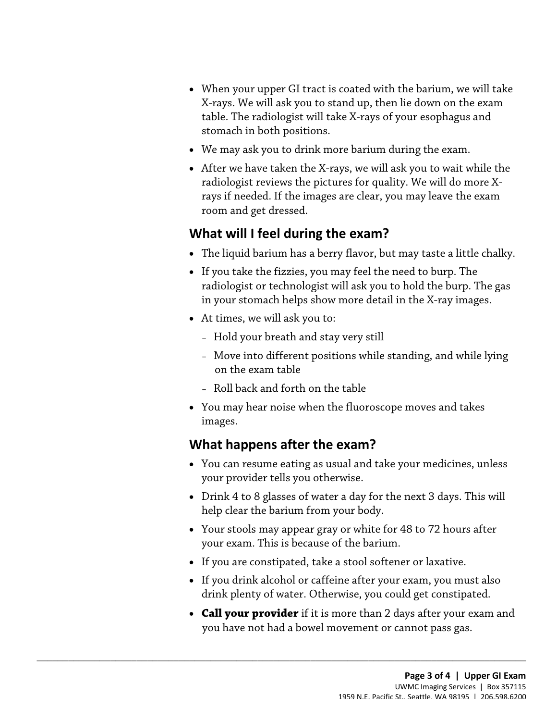- • When your upper GI tract is coated with the barium, we will take X-rays. We will ask you to stand up, then lie down on the exam table. The radiologist will take X-rays of your esophagus and stomach in both positions.
- We may ask you to drink more barium during the exam.
- room and get dressed. • After we have taken the X-rays, we will ask you to wait while the radiologist reviews the pictures for quality. We will do more Xrays if needed. If the images are clear, you may leave the exam

## **What will I feel during the exam?**

- The liquid barium has a berry flavor, but may taste a little chalky.
- • If you take the fizzies, you may feel the need to burp. The • If you take the fizzies, you may feel the need to burp. The<br>radiologist or technologist will ask you to hold the burp. The gas<br>in your stomach helps show more detail in the X-ray images.<br>• At times, we will ask you to:<br>radiologist or technologist will ask you to hold the burp. The gas in your stomach helps show more detail in the X-ray images.
	- • At times, we will ask you to:
		- Hold your breath and stay very still
		- – Move into different positions while standing, and while lying on the exam table
		- Roll back and forth on the table
	- You may hear noise when the fluoroscope moves and takes images.

# **What happens after the exam?**

 $\_$  ,  $\_$  ,  $\_$  ,  $\_$  ,  $\_$  ,  $\_$  ,  $\_$  ,  $\_$  ,  $\_$  ,  $\_$  ,  $\_$  ,  $\_$  ,  $\_$  ,  $\_$  ,  $\_$  ,  $\_$  ,  $\_$  ,  $\_$  ,  $\_$  ,  $\_$  ,  $\_$  ,  $\_$  ,  $\_$  ,  $\_$  ,  $\_$  ,  $\_$  ,  $\_$  ,  $\_$  ,  $\_$  ,  $\_$  ,  $\_$  ,  $\_$  ,  $\_$  ,  $\_$  ,  $\_$  ,  $\_$  ,  $\_$  ,

- You can resume eating as usual and take your medicines, unless your provider tells you otherwise.
- • Drink 4 to 8 glasses of water a day for the next 3 days. This will help clear the barium from your body.
- Your stools may appear gray or white for 48 to 72 hours after your exam. This is because of the barium.
- If you are constipated, take a stool softener or laxative.
- If you drink alcohol or caffeine after your exam, you must also drink plenty of water. Otherwise, you could get constipated.
- you have not had a bowel movement or cannot pass gas. • **Call your provider** if it is more than 2 days after your exam and